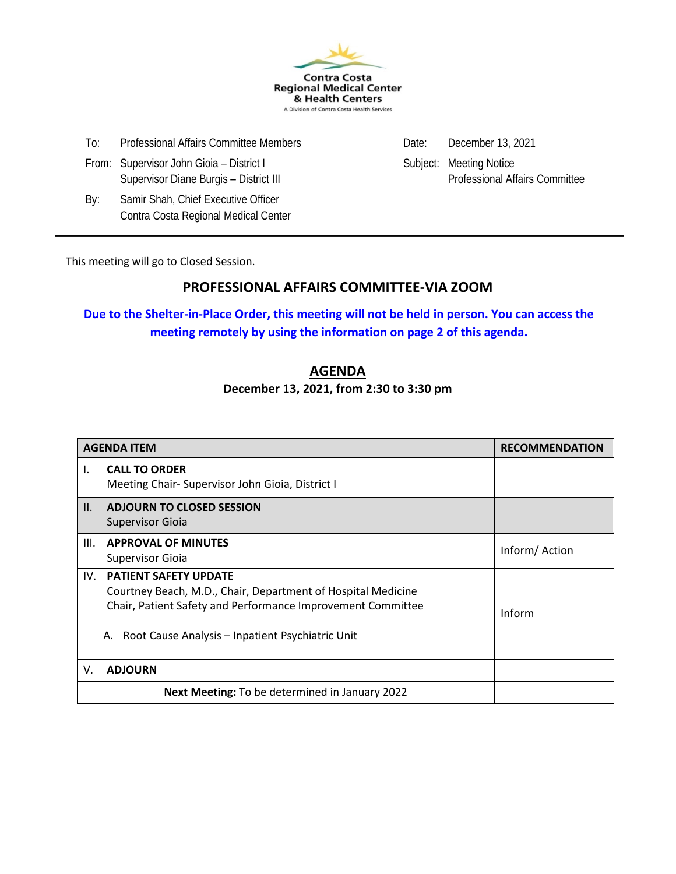

| To: | Professional Affairs Committee Members |  |  |
|-----|----------------------------------------|--|--|
|     |                                        |  |  |

- From: Supervisor John Gioia District I Subject: Meeting Notice Supervisor Diane Burgis – District III Professional Affairs Committee
- By: Samir Shah, Chief Executive Officer Contra Costa Regional Medical Center

To: Professional Affairs December 13, 2021

This meeting will go to Closed Session.

#### **PROFESSIONAL AFFAIRS COMMITTEE-VIA ZOOM**

**Due to the Shelter-in-Place Order, this meeting will not be held in person. You can access the meeting remotely by using the information on page 2 of this agenda.**

## **AGENDA**

**December 13, 2021, from 2:30 to 3:30 pm**

|      | <b>AGENDA ITEM</b>                                                                                                                                                                                                    | <b>RECOMMENDATION</b> |
|------|-----------------------------------------------------------------------------------------------------------------------------------------------------------------------------------------------------------------------|-----------------------|
| Ι.   | <b>CALL TO ORDER</b><br>Meeting Chair- Supervisor John Gioia, District I                                                                                                                                              |                       |
| II.  | <b>ADJOURN TO CLOSED SESSION</b><br>Supervisor Gioia                                                                                                                                                                  |                       |
| III. | <b>APPROVAL OF MINUTES</b><br><b>Supervisor Gioia</b>                                                                                                                                                                 | Inform/Action         |
| IV.  | <b>PATIENT SAFETY UPDATE</b><br>Courtney Beach, M.D., Chair, Department of Hospital Medicine<br>Chair, Patient Safety and Performance Improvement Committee<br>Root Cause Analysis - Inpatient Psychiatric Unit<br>А. | Inform                |
| V.   | <b>ADJOURN</b>                                                                                                                                                                                                        |                       |
|      | Next Meeting: To be determined in January 2022                                                                                                                                                                        |                       |